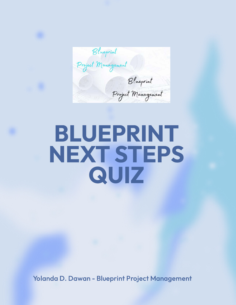Blueprint<br>Project Management Blueprint Project Management

## BLUEPRINT NEXT STEPS QUIZ

Yolanda D. Dawan - Blueprint Project Management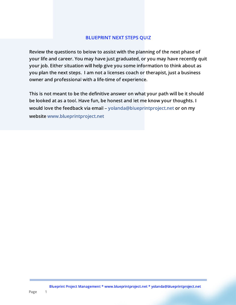## BLUEPRINT NEXT STEPS QUIZ

Review the questions to below to assist with the planning of the next phase of your life and career. You may have just graduated, or you may have recently quit your job. Either situation will help give you some information to think about as you plan the next steps. I am not a licenses coach or therapist, just a business owner and professional with a life-time of experience.

This is not meant to be the definitive answer on what your path will be it should be looked at as a tool. Have fun, be honest and let me know your thoughts. I wouldin the feedback via email – i anningromment in my algebritation in this ww.blueprintproject.network.net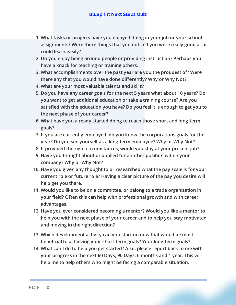- 1. What tasks or projects have you enjoyed doing in your job or your school assignments? Were there things that you noticed you were really good at or could learn easily?
- 2. Do you enjoy being around people or providing instruction? Perhaps you have a knack for teaching or training others.
- 3. What accomplishments over the past year are you the proudest of? Were there any that you would have done differently? Why or Why Not?
- 4. What are your most valuable talents and skills?
- 5. Do you have any career goals for the next 5 years what about 10 years? Do you want to get additional education or take a training course? Are you satisfied with the education you have? Do you feel it is enough to get you to the next phase of your career?
- 6. What have you already started doing to reach those short and long-term goals?
- 7. If you are currently employed, do you know the corporations goals for the year? Do you see yourself as a long-term employee? Why or Why Not?
- 8. If provided the right circumstances, would you stay at your present job?
- 9. Have you thought about or applied for another position within your company? Why or Why Not?
- 10. Have you given any thought to or researched what the pay scale is for your current role or future role? Having a clear picture of the pay you desire will help get you there.
- 11. Would you like to be on a committee, or belong to a trade organization in your field? Often this can help with professional growth and with career advantages.
- 12. Have you ever considered becoming a mentor? Would you like a mentor to help you with the next phase of your career and to help you stay motivated and moving in the right direction?
- 13. Which development activity can you start on now that would be most beneficial to achieving your short-term goals? Your long-term goals?
- 14. What can I do to help you get started? Also, please report back to me with your progress in the next 60 Days, 90 Days, 6 months and 1 year. This will help me to help others who might be facing a comparable situation.